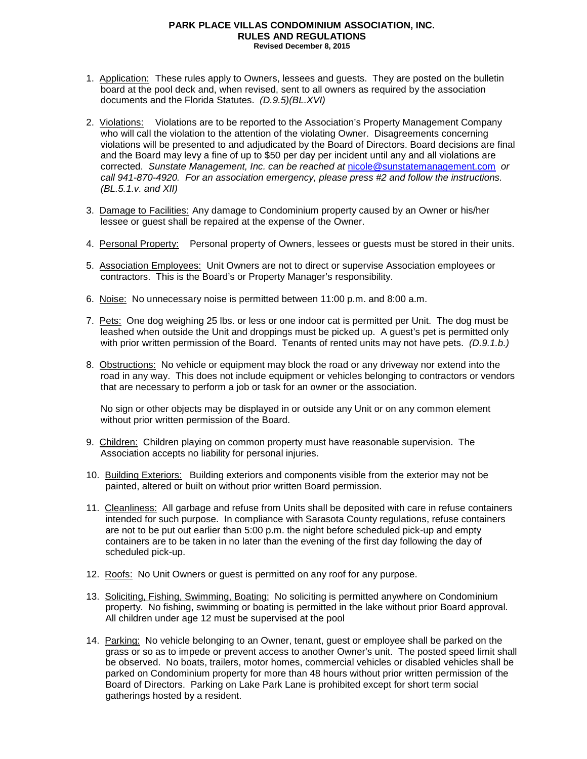## **PARK PLACE VILLAS CONDOMINIUM ASSOCIATION, INC. RULES AND REGULATIONS Revised December 8, 2015**

- 1. Application: These rules apply to Owners, lessees and guests. They are posted on the bulletin board at the pool deck and, when revised, sent to all owners as required by the association documents and the Florida Statutes. *(D.9.5)(BL.XVI)*
- 2. Violations: Violations are to be reported to the Association's Property Management Company who will call the violation to the attention of the violating Owner. Disagreements concerning violations will be presented to and adjudicated by the Board of Directors. Board decisions are final and the Board may levy a fine of up to \$50 per day per incident until any and all violations are corrected. *Sunstate Management, Inc. can be reached at* [nicole@sunstatemanagement.com](mailto:nicole@sunstatemanagement.com) *or call 941-870-4920. For an association emergency, please press #2 and follow the instructions. (BL.5.1.v. and XII)*
- 3. Damage to Facilities: Any damage to Condominium property caused by an Owner or his/her lessee or guest shall be repaired at the expense of the Owner.
- 4. Personal Property: Personal property of Owners, lessees or guests must be stored in their units.
- 5. Association Employees: Unit Owners are not to direct or supervise Association employees or contractors. This is the Board's or Property Manager's responsibility.
- 6. Noise: No unnecessary noise is permitted between 11:00 p.m. and 8:00 a.m.
- 7. Pets: One dog weighing 25 lbs. or less or one indoor cat is permitted per Unit. The dog must be leashed when outside the Unit and droppings must be picked up. A guest's pet is permitted only with prior written permission of the Board. Tenants of rented units may not have pets. *(D.9.1.b.)*
- 8. Obstructions: No vehicle or equipment may block the road or any driveway nor extend into the road in any way. This does not include equipment or vehicles belonging to contractors or vendors that are necessary to perform a job or task for an owner or the association.

No sign or other objects may be displayed in or outside any Unit or on any common element without prior written permission of the Board.

- 9. Children: Children playing on common property must have reasonable supervision. The Association accepts no liability for personal injuries.
- 10. Building Exteriors: Building exteriors and components visible from the exterior may not be painted, altered or built on without prior written Board permission.
- 11. Cleanliness: All garbage and refuse from Units shall be deposited with care in refuse containers intended for such purpose. In compliance with Sarasota County regulations, refuse containers are not to be put out earlier than 5:00 p.m. the night before scheduled pick-up and empty containers are to be taken in no later than the evening of the first day following the day of scheduled pick-up.
- 12. Roofs: No Unit Owners or guest is permitted on any roof for any purpose.
- 13. Soliciting, Fishing, Swimming, Boating: No soliciting is permitted anywhere on Condominium property. No fishing, swimming or boating is permitted in the lake without prior Board approval. All children under age 12 must be supervised at the pool
- 14. Parking: No vehicle belonging to an Owner, tenant, guest or employee shall be parked on the grass or so as to impede or prevent access to another Owner's unit. The posted speed limit shall be observed. No boats, trailers, motor homes, commercial vehicles or disabled vehicles shall be parked on Condominium property for more than 48 hours without prior written permission of the Board of Directors. Parking on Lake Park Lane is prohibited except for short term social gatherings hosted by a resident.